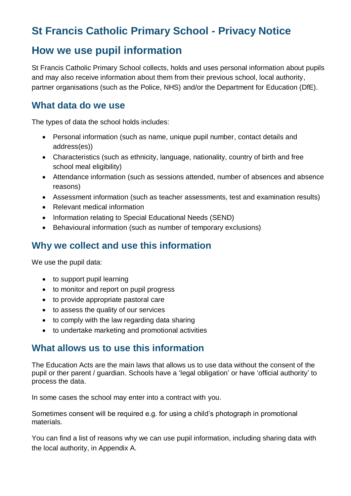# **St Francis Catholic Primary School - Privacy Notice**

## **How we use pupil information**

St Francis Catholic Primary School collects, holds and uses personal information about pupils and may also receive information about them from their previous school, local authority, partner organisations (such as the Police, NHS) and/or the Department for Education (DfE).

### **What data do we use**

The types of data the school holds includes:

- Personal information (such as name, unique pupil number, contact details and address(es))
- Characteristics (such as ethnicity, language, nationality, country of birth and free school meal eligibility)
- Attendance information (such as sessions attended, number of absences and absence reasons)
- Assessment information (such as teacher assessments, test and examination results)
- Relevant medical information
- Information relating to Special Educational Needs (SEND)
- Behavioural information (such as number of temporary exclusions)

### **Why we collect and use this information**

We use the pupil data:

- to support pupil learning
- to monitor and report on pupil progress
- to provide appropriate pastoral care
- to assess the quality of our services
- to comply with the law regarding data sharing
- to undertake marketing and promotional activities

### **What allows us to use this information**

The Education Acts are the main laws that allows us to use data without the consent of the pupil or ther parent / guardian. Schools have a 'legal obligation' or have 'official authority' to process the data.

In some cases the school may enter into a contract with you.

Sometimes consent will be required e.g. for using a child's photograph in promotional materials.

You can find a list of reasons why we can use pupil information, including sharing data with the local authority, in Appendix A.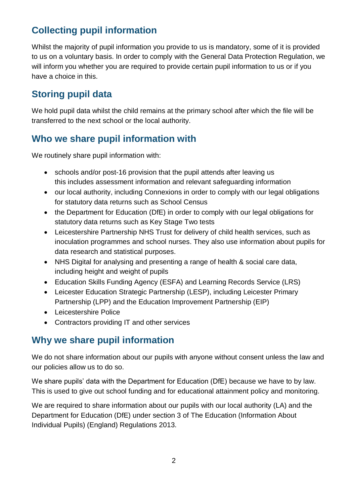# **Collecting pupil information**

Whilst the majority of pupil information you provide to us is mandatory, some of it is provided to us on a voluntary basis. In order to comply with the General Data Protection Regulation, we will inform you whether you are required to provide certain pupil information to us or if you have a choice in this.

## **Storing pupil data**

We hold pupil data whilst the child remains at the primary school after which the file will be transferred to the next school or the local authority.

## **Who we share pupil information with**

We routinely share pupil information with:

- schools and/or post-16 provision that the pupil attends after leaving us this includes assessment information and relevant safeguarding information
- our local authority, including Connexions in order to comply with our legal obligations for statutory data returns such as School Census
- the Department for Education (DfE) in order to comply with our legal obligations for statutory data returns such as Key Stage Two tests
- Leicestershire Partnership NHS Trust for delivery of child health services, such as inoculation programmes and school nurses. They also use information about pupils for data research and statistical purposes.
- NHS Digital for analysing and presenting a range of health & social care data, including height and weight of pupils
- Education Skills Funding Agency (ESFA) and Learning Records Service (LRS)
- Leicester Education Strategic Partnership (LESP), including Leicester Primary Partnership (LPP) and the Education Improvement Partnership (EIP)
- Leicestershire Police
- Contractors providing IT and other services

### **Why we share pupil information**

We do not share information about our pupils with anyone without consent unless the law and our policies allow us to do so.

We share pupils' data with the Department for Education (DfE) because we have to by law. This is used to give out school funding and for educational attainment policy and monitoring.

We are required to share information about our pupils with our local authority (LA) and the Department for Education (DfE) under section 3 of The Education (Information About Individual Pupils) (England) Regulations 2013.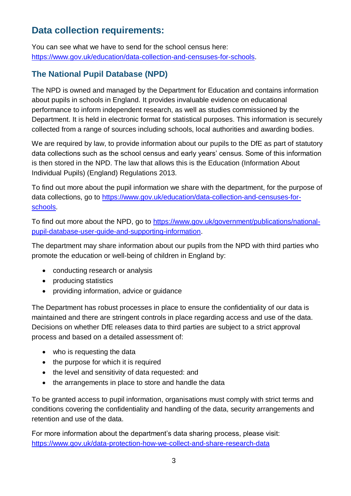## **Data collection requirements:**

You can see what we have to send for the school census here: [https://www.gov.uk/education/data-collection-and-censuses-for-schools.](https://www.gov.uk/education/data-collection-and-censuses-for-schools)

### **The National Pupil Database (NPD)**

The NPD is owned and managed by the Department for Education and contains information about pupils in schools in England. It provides invaluable evidence on educational performance to inform independent research, as well as studies commissioned by the Department. It is held in electronic format for statistical purposes. This information is securely collected from a range of sources including schools, local authorities and awarding bodies.

We are required by law, to provide information about our pupils to the DfE as part of statutory data collections such as the school census and early years' census. Some of this information is then stored in the NPD. The law that allows this is the Education (Information About Individual Pupils) (England) Regulations 2013.

To find out more about the pupil information we share with the department, for the purpose of data collections, go to [https://www.gov.uk/education/data-collection-and-censuses-for](https://www.gov.uk/education/data-collection-and-censuses-for-schools)[schools.](https://www.gov.uk/education/data-collection-and-censuses-for-schools)

To find out more about the NPD, go to [https://www.gov.uk/government/publications/national](https://www.gov.uk/government/publications/national-pupil-database-user-guide-and-supporting-information)[pupil-database-user-guide-and-supporting-information.](https://www.gov.uk/government/publications/national-pupil-database-user-guide-and-supporting-information)

The department may share information about our pupils from the NPD with third parties who promote the education or well-being of children in England by:

- conducting research or analysis
- producing statistics
- providing information, advice or guidance

The Department has robust processes in place to ensure the confidentiality of our data is maintained and there are stringent controls in place regarding access and use of the data. Decisions on whether DfE releases data to third parties are subject to a strict approval process and based on a detailed assessment of:

- who is requesting the data
- the purpose for which it is required
- the level and sensitivity of data requested: and
- the arrangements in place to store and handle the data

To be granted access to pupil information, organisations must comply with strict terms and conditions covering the confidentiality and handling of the data, security arrangements and retention and use of the data.

For more information about the department's data sharing process, please visit: <https://www.gov.uk/data-protection-how-we-collect-and-share-research-data>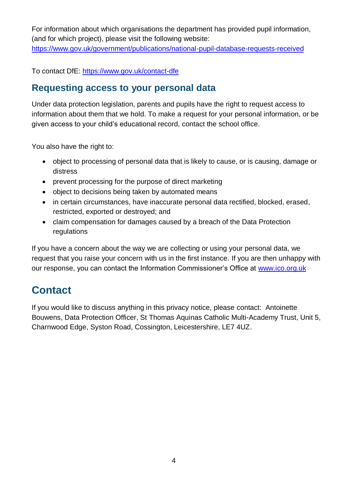For information about which organisations the department has provided pupil information, (and for which project), please visit the following website:

<https://www.gov.uk/government/publications/national-pupil-database-requests-received>

To contact DfE:<https://www.gov.uk/contact-dfe>

### **Requesting access to your personal data**

Under data protection legislation, parents and pupils have the right to request access to information about them that we hold. To make a request for your personal information, or be given access to your child's educational record, contact the school office.

You also have the right to:

- object to processing of personal data that is likely to cause, or is causing, damage or distress
- prevent processing for the purpose of direct marketing
- object to decisions being taken by automated means
- in certain circumstances, have inaccurate personal data rectified, blocked, erased, restricted, exported or destroyed; and
- claim compensation for damages caused by a breach of the Data Protection regulations

If you have a concern about the way we are collecting or using your personal data, we request that you raise your concern with us in the first instance. If you are then unhappy with our response, you can contact the Information Commissioner's Office at [www.ico.org.uk](http://www.ico.org.uk/)

# **Contact**

If you would like to discuss anything in this privacy notice, please contact: Antoinette Bouwens, Data Protection Officer, St Thomas Aquinas Catholic Multi-Academy Trust, Unit 5, Charnwood Edge, Syston Road, Cossington, Leicestershire, LE7 4UZ.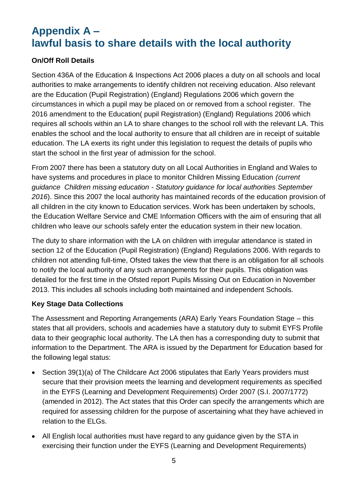# **Appendix A – lawful basis to share details with the local authority**

### **On/Off Roll Details**

Section 436A of the Education & Inspections Act 2006 places a duty on all schools and local authorities to make arrangements to identify children not receiving education. Also relevant are the Education (Pupil Registration) (England) Regulations 2006 which govern the circumstances in which a pupil may be placed on or removed from a school register. The 2016 amendment to the Education( pupil Registration) (England) Regulations 2006 which requires all schools within an LA to share changes to the school roll with the relevant LA. This enables the school and the local authority to ensure that all children are in receipt of suitable education. The LA exerts its right under this legislation to request the details of pupils who start the school in the first year of admission for the school.

From 2007 there has been a statutory duty on all Local Authorities in England and Wales to have systems and procedures in place to monitor Children Missing Education *(current guidance Children missing education - Statutory guidance for local authorities September 2016*). Since this 2007 the local authority has maintained records of the education provision of all children in the city known to Education services. Work has been undertaken by schools, the Education Welfare Service and CME Information Officers with the aim of ensuring that all children who leave our schools safely enter the education system in their new location.

The duty to share information with the LA on children with irregular attendance is stated in section 12 of the Education (Pupil Registration) (England) Regulations 2006. With regards to children not attending full-time, Ofsted takes the view that there is an obligation for all schools to notify the local authority of any such arrangements for their pupils. This obligation was detailed for the first time in the Ofsted report Pupils Missing Out on Education in November 2013. This includes all schools including both maintained and independent Schools.

#### **Key Stage Data Collections**

The Assessment and Reporting Arrangements (ARA) Early Years Foundation Stage – this states that all providers, schools and academies have a statutory duty to submit EYFS Profile data to their geographic local authority. The LA then has a corresponding duty to submit that information to the Department. The ARA is issued by the Department for Education based for the following legal status:

- Section 39(1)(a) of The Childcare Act 2006 stipulates that Early Years providers must secure that their provision meets the learning and development requirements as specified in the EYFS (Learning and Development Requirements) Order 2007 (S.I. 2007/1772) (amended in 2012). The Act states that this Order can specify the arrangements which are required for assessing children for the purpose of ascertaining what they have achieved in relation to the ELGs.
- All English local authorities must have regard to any guidance given by the STA in exercising their function under the EYFS (Learning and Development Requirements)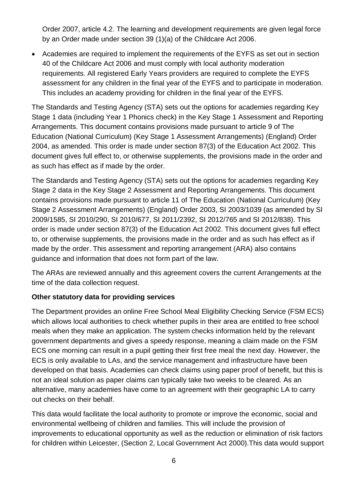Order 2007, article 4.2. The learning and development requirements are given legal force by an Order made under section 39 (1)(a) of the Childcare Act 2006.

 Academies are required to implement the requirements of the EYFS as set out in section 40 of the Childcare Act 2006 and must comply with local authority moderation requirements. All registered Early Years providers are required to complete the EYFS assessment for any children in the final year of the EYFS and to participate in moderation. This includes an academy providing for children in the final year of the EYFS.

The Standards and Testing Agency (STA) sets out the options for academies regarding Key Stage 1 data (including Year 1 Phonics check) in the Key Stage 1 Assessment and Reporting Arrangements. This document contains provisions made pursuant to article 9 of The Education (National Curriculum) (Key Stage 1 Assessment Arrangements) (England) Order 2004, as amended. This order is made under section 87(3) of the Education Act 2002. This document gives full effect to, or otherwise supplements, the provisions made in the order and as such has effect as if made by the order.

The Standards and Testing Agency (STA) sets out the options for academies regarding Key Stage 2 data in the Key Stage 2 Assessment and Reporting Arrangements. This document contains provisions made pursuant to article 11 of The Education (National Curriculum) (Key Stage 2 Assessment Arrangements) (England) Order 2003, SI 2003/1039 (as amended by SI 2009/1585, SI 2010/290, SI 2010/677, SI 2011/2392, SI 2012/765 and SI 2012/838). This order is made under section 87(3) of the Education Act 2002. This document gives full effect to, or otherwise supplements, the provisions made in the order and as such has effect as if made by the order. This assessment and reporting arrangement (ARA) also contains guidance and information that does not form part of the law.

The ARAs are reviewed annually and this agreement covers the current Arrangements at the time of the data collection request.

#### **Other statutory data for providing services**

The Department provides an online Free School Meal Eligibility Checking Service (FSM ECS) which allows local authorities to check whether pupils in their area are entitled to free school meals when they make an application. The system checks information held by the relevant government departments and gives a speedy response, meaning a claim made on the FSM ECS one morning can result in a pupil getting their first free meal the next day. However, the ECS is only available to LAs, and the service management and infrastructure have been developed on that basis. Academies can check claims using paper proof of benefit, but this is not an ideal solution as paper claims can typically take two weeks to be cleared. As an alternative, many academies have come to an agreement with their geographic LA to carry out checks on their behalf.

This data would facilitate the local authority to promote or improve the economic, social and environmental wellbeing of children and families. This will include the provision of improvements to educational opportunity as well as the reduction or elimination of risk factors for children within Leicester, (Section 2, Local Government Act 2000).This data would support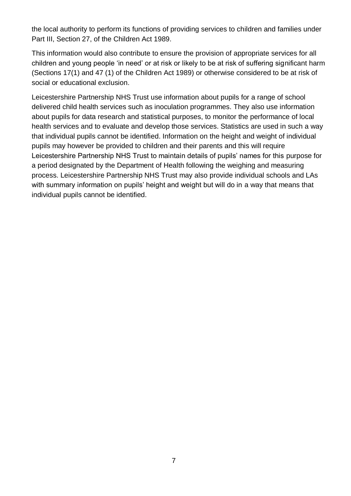the local authority to perform its functions of providing services to children and families under Part III, Section 27, of the Children Act 1989.

This information would also contribute to ensure the provision of appropriate services for all children and young people 'in need' or at risk or likely to be at risk of suffering significant harm (Sections 17(1) and 47 (1) of the Children Act 1989) or otherwise considered to be at risk of social or educational exclusion.

Leicestershire Partnership NHS Trust use information about pupils for a range of school delivered child health services such as inoculation programmes. They also use information about pupils for data research and statistical purposes, to monitor the performance of local health services and to evaluate and develop those services. Statistics are used in such a way that individual pupils cannot be identified. Information on the height and weight of individual pupils may however be provided to children and their parents and this will require Leicestershire Partnership NHS Trust to maintain details of pupils' names for this purpose for a period designated by the Department of Health following the weighing and measuring process. Leicestershire Partnership NHS Trust may also provide individual schools and LAs with summary information on pupils' height and weight but will do in a way that means that individual pupils cannot be identified.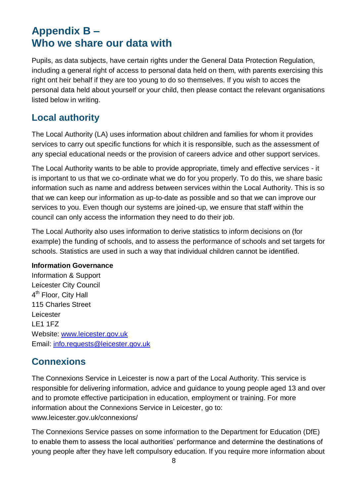# **Appendix B – Who we share our data with**

Pupils, as data subjects, have certain rights under the General Data Protection Regulation, including a general right of access to personal data held on them, with parents exercising this right ont heir behalf if they are too young to do so themselves. If you wish to acces the personal data held about yourself or your child, then please contact the relevant organisations listed below in writing.

### **Local authority**

The Local Authority (LA) uses information about children and families for whom it provides services to carry out specific functions for which it is responsible, such as the assessment of any special educational needs or the provision of careers advice and other support services.

The Local Authority wants to be able to provide appropriate, timely and effective services - it is important to us that we co-ordinate what we do for you properly. To do this, we share basic information such as name and address between services within the Local Authority. This is so that we can keep our information as up-to-date as possible and so that we can improve our services to you. Even though our systems are joined-up, we ensure that staff within the council can only access the information they need to do their job.

The Local Authority also uses information to derive statistics to inform decisions on (for example) the funding of schools, and to assess the performance of schools and set targets for schools. Statistics are used in such a way that individual children cannot be identified.

#### **Information Governance**

Information & Support Leicester City Council 4<sup>th</sup> Floor, City Hall 115 Charles Street Leicester LE1 1FZ Website: [www.leicester.gov.uk](http://www.leicester.gov.uk/) Email: [info.requests@leicester.gov.uk](mailto:info.requests@leicester.gov.uk)

## **Connexions**

The Connexions Service in Leicester is now a part of the Local Authority. This service is responsible for delivering information, advice and guidance to young people aged 13 and over and to promote effective participation in education, employment or training. For more information about the Connexions Service in Leicester, go to: www.leicester.gov.uk/connexions/

The Connexions Service passes on some information to the Department for Education (DfE) to enable them to assess the local authorities' performance and determine the destinations of young people after they have left compulsory education. If you require more information about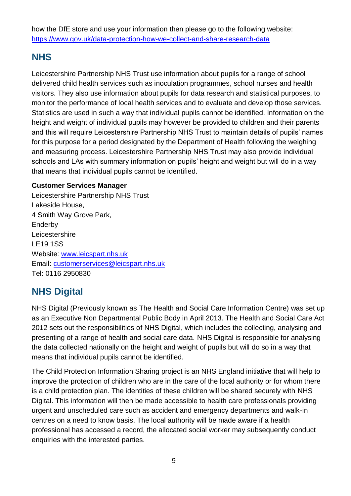how the DfE store and use your information then please go to the following website: <https://www.gov.uk/data-protection-how-we-collect-and-share-research-data>

## **NHS**

Leicestershire Partnership NHS Trust use information about pupils for a range of school delivered child health services such as inoculation programmes, school nurses and health visitors. They also use information about pupils for data research and statistical purposes, to monitor the performance of local health services and to evaluate and develop those services. Statistics are used in such a way that individual pupils cannot be identified. Information on the height and weight of individual pupils may however be provided to children and their parents and this will require Leicestershire Partnership NHS Trust to maintain details of pupils' names for this purpose for a period designated by the Department of Health following the weighing and measuring process. Leicestershire Partnership NHS Trust may also provide individual schools and LAs with summary information on pupils' height and weight but will do in a way that means that individual pupils cannot be identified.

#### **Customer Services Manager**

Leicestershire Partnership NHS Trust Lakeside House, 4 Smith Way Grove Park, Enderby **Leicestershire** LE19 1SS Website: [www.leicspart.nhs.uk](http://www.leicspart.nhs.uk/) Email: [customerservices@leicspart.nhs.uk](mailto:customerservices@leicspart.nhs.uk) Tel: 0116 2950830

# **NHS Digital**

NHS Digital (Previously known as The Health and Social Care Information Centre) was set up as an Executive Non Departmental Public Body in April 2013. The Health and Social Care Act 2012 sets out the responsibilities of NHS Digital, which includes the collecting, analysing and presenting of a range of health and social care data. NHS Digital is responsible for analysing the data collected nationally on the height and weight of pupils but will do so in a way that means that individual pupils cannot be identified.

The Child Protection Information Sharing project is an NHS England initiative that will help to improve the protection of children who are in the care of the local authority or for whom there is a child protection plan. The identities of these children will be shared securely with NHS Digital. This information will then be made accessible to health care professionals providing urgent and unscheduled care such as accident and emergency departments and walk-in centres on a need to know basis. The local authority will be made aware if a health professional has accessed a record, the allocated social worker may subsequently conduct enquiries with the interested parties.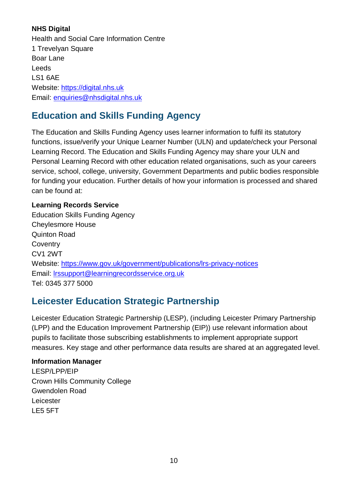#### **NHS Digital**

Health and Social Care Information Centre 1 Trevelyan Square Boar Lane Leeds LS1 6AE Website: [https://digital.nhs.uk](https://digital.nhs.uk/) Email: [enquiries@nhsdigital.nhs.uk](mailto:enquiries@nhsdigital.nhs.uk)

## **Education and Skills Funding Agency**

The Education and Skills Funding Agency uses learner information to fulfil its statutory functions, issue/verify your Unique Learner Number (ULN) and update/check your Personal Learning Record. The Education and Skills Funding Agency may share your ULN and Personal Learning Record with other education related organisations, such as your careers service, school, college, university, Government Departments and public bodies responsible for funding your education. Further details of how your information is processed and shared can be found at:

### **Learning Records Service**

Education Skills Funding Agency Cheylesmore House Quinton Road **Coventry** CV1 2WT Website:<https://www.gov.uk/government/publications/lrs-privacy-notices> Email: [lrssupport@learningrecordsservice.org.uk](mailto:lrssupport@learningrecordsservice.org.uk) Tel: 0345 377 5000

### **Leicester Education Strategic Partnership**

Leicester Education Strategic Partnership (LESP), (including Leicester Primary Partnership (LPP) and the Education Improvement Partnership (EIP)) use relevant information about pupils to facilitate those subscribing establishments to implement appropriate support measures. Key stage and other performance data results are shared at an aggregated level.

#### **Information Manager**

LESP/LPP/EIP Crown Hills Community College Gwendolen Road Leicester LE5 5FT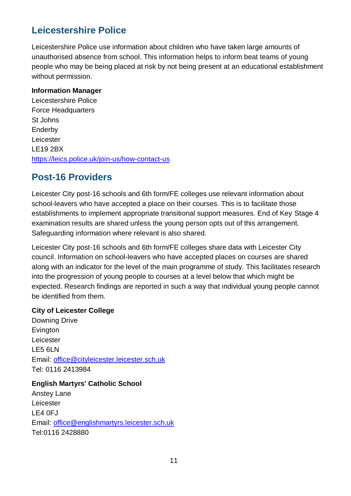## **Leicestershire Police**

Leicestershire Police use information about children who have taken large amounts of unauthorised absence from school. This information helps to inform beat teams of young people who may be being placed at risk by not being present at an educational establishment without permission.

#### **Information Manager**

Leicestershire Police Force Headquarters St Johns Enderby Leicester LE19 2BX <https://leics.police.uk/join-us/how-contact-us>

### **Post-16 Providers**

Leicester City post-16 schools and 6th form/FE colleges use relevant information about school-leavers who have accepted a place on their courses. This is to facilitate those establishments to implement appropriate transitional support measures. End of Key Stage 4 examination results are shared unless the young person opts out of this arrangement. Safeguarding information where relevant is also shared.

Leicester City post-16 schools and 6th form/FE colleges share data with Leicester City council. Information on school-leavers who have accepted places on courses are shared along with an indicator for the level of the main programme of study. This facilitates research into the progression of young people to courses at a level below that which might be expected. Research findings are reported in such a way that individual young people cannot be identified from them.

#### **City of Leicester College**

Downing Drive Evington Leicester LE5 6LN Email: [office@cityleicester.leicester.sch.uk](mailto:office@cityleicester.leicester.sch.uk) Tel: 0116 2413984

#### **English Martyrs' Catholic School**

Anstey Lane Leicester LE4 0FJ Email: [office@englishmartyrs.leicester.sch.uk](mailto:office@englishmartyrs.leicester.sch.uk) Tel:0116 2428880